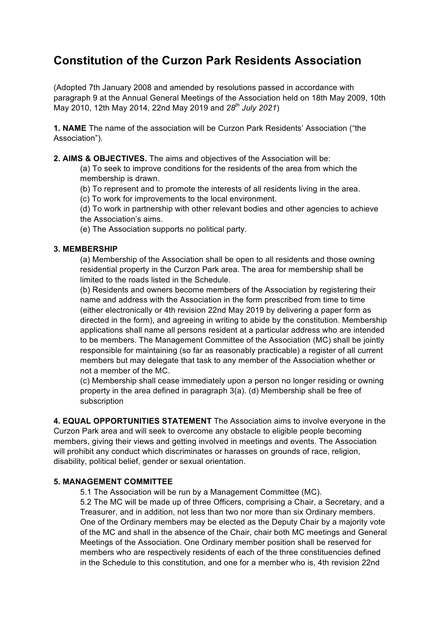# **Constitution of the Curzon Park Residents Association**

(Adopted 7th January 2008 and amended by resolutions passed in accordance with paragraph 9 at the Annual General Meetings of the Association held on 18th May 2009, 10th May 2010, 12th May 2014, 22nd May 2019 and *28th July 2021*)

**1. NAME** The name of the association will be Curzon Park Residents' Association ("the Association").

**2. AIMS & OBJECTIVES.** The aims and objectives of the Association will be:

(a) To seek to improve conditions for the residents of the area from which the membership is drawn.

(b) To represent and to promote the interests of all residents living in the area.

(c) To work for improvements to the local environment.

(d) To work in partnership with other relevant bodies and other agencies to achieve the Association's aims.

(e) The Association supports no political party.

#### **3. MEMBERSHIP**

(a) Membership of the Association shall be open to all residents and those owning residential property in the Curzon Park area. The area for membership shall be limited to the roads listed in the Schedule.

(b) Residents and owners become members of the Association by registering their name and address with the Association in the form prescribed from time to time (either electronically or 4th revision 22nd May 2019 by delivering a paper form as directed in the form), and agreeing in writing to abide by the constitution. Membership applications shall name all persons resident at a particular address who are intended to be members. The Management Committee of the Association (MC) shall be jointly responsible for maintaining (so far as reasonably practicable) a register of all current members but may delegate that task to any member of the Association whether or not a member of the MC.

(c) Membership shall cease immediately upon a person no longer residing or owning property in the area defined in paragraph 3(a). (d) Membership shall be free of subscription

**4. EQUAL OPPORTUNITIES STATEMENT** The Association aims to involve everyone in the Curzon Park area and will seek to overcome any obstacle to eligible people becoming members, giving their views and getting involved in meetings and events. The Association will prohibit any conduct which discriminates or harasses on grounds of race, religion, disability, political belief, gender or sexual orientation.

### **5. MANAGEMENT COMMITTEE**

5.1 The Association will be run by a Management Committee (MC).

5.2 The MC will be made up of three Officers, comprising a Chair, a Secretary, and a Treasurer, and in addition, not less than two nor more than six Ordinary members. One of the Ordinary members may be elected as the Deputy Chair by a majority vote of the MC and shall in the absence of the Chair, chair both MC meetings and General Meetings of the Association. One Ordinary member position shall be reserved for members who are respectively residents of each of the three constituencies defined in the Schedule to this constitution, and one for a member who is, 4th revision 22nd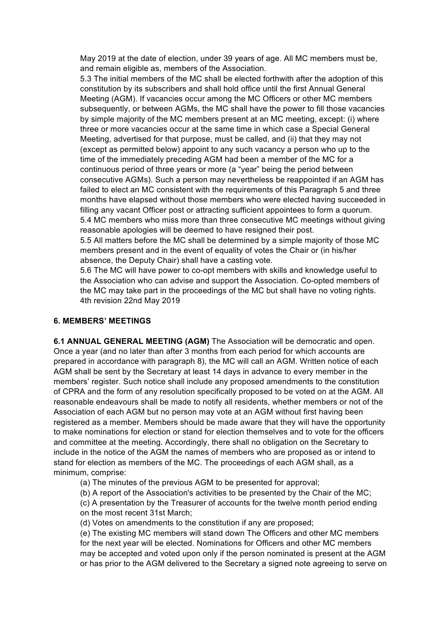May 2019 at the date of election, under 39 years of age. All MC members must be, and remain eligible as, members of the Association.

5.3 The initial members of the MC shall be elected forthwith after the adoption of this constitution by its subscribers and shall hold office until the first Annual General Meeting (AGM). If vacancies occur among the MC Officers or other MC members subsequently, or between AGMs, the MC shall have the power to fill those vacancies by simple majority of the MC members present at an MC meeting, except: (i) where three or more vacancies occur at the same time in which case a Special General Meeting, advertised for that purpose, must be called, and (ii) that they may not (except as permitted below) appoint to any such vacancy a person who up to the time of the immediately preceding AGM had been a member of the MC for a continuous period of three years or more (a "year" being the period between consecutive AGMs). Such a person may nevertheless be reappointed if an AGM has failed to elect an MC consistent with the requirements of this Paragraph 5 and three months have elapsed without those members who were elected having succeeded in filling any vacant Officer post or attracting sufficient appointees to form a quorum. 5.4 MC members who miss more than three consecutive MC meetings without giving reasonable apologies will be deemed to have resigned their post.

5.5 All matters before the MC shall be determined by a simple majority of those MC members present and in the event of equality of votes the Chair or (in his/her absence, the Deputy Chair) shall have a casting vote.

5.6 The MC will have power to co-opt members with skills and knowledge useful to the Association who can advise and support the Association. Co-opted members of the MC may take part in the proceedings of the MC but shall have no voting rights. 4th revision 22nd May 2019

### **6. MEMBERS' MEETINGS**

**6.1 ANNUAL GENERAL MEETING (AGM)** The Association will be democratic and open. Once a year (and no later than after 3 months from each period for which accounts are prepared in accordance with paragraph 8), the MC will call an AGM. Written notice of each AGM shall be sent by the Secretary at least 14 days in advance to every member in the members' register. Such notice shall include any proposed amendments to the constitution of CPRA and the form of any resolution specifically proposed to be voted on at the AGM. All reasonable endeavours shall be made to notify all residents, whether members or not of the Association of each AGM but no person may vote at an AGM without first having been registered as a member. Members should be made aware that they will have the opportunity to make nominations for election or stand for election themselves and to vote for the officers and committee at the meeting. Accordingly, there shall no obligation on the Secretary to include in the notice of the AGM the names of members who are proposed as or intend to stand for election as members of the MC. The proceedings of each AGM shall, as a minimum, comprise:

(a) The minutes of the previous AGM to be presented for approval;

(b) A report of the Association's activities to be presented by the Chair of the MC;

(c) A presentation by the Treasurer of accounts for the twelve month period ending on the most recent 31st March;

(d) Votes on amendments to the constitution if any are proposed;

(e) The existing MC members will stand down The Officers and other MC members for the next year will be elected. Nominations for Officers and other MC members may be accepted and voted upon only if the person nominated is present at the AGM or has prior to the AGM delivered to the Secretary a signed note agreeing to serve on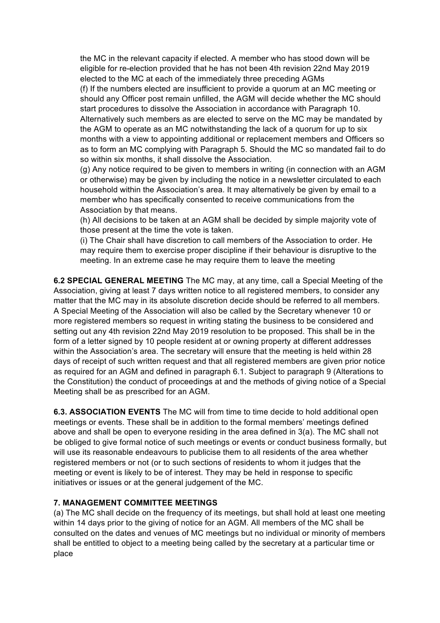the MC in the relevant capacity if elected. A member who has stood down will be eligible for re-election provided that he has not been 4th revision 22nd May 2019 elected to the MC at each of the immediately three preceding AGMs (f) If the numbers elected are insufficient to provide a quorum at an MC meeting or should any Officer post remain unfilled, the AGM will decide whether the MC should start procedures to dissolve the Association in accordance with Paragraph 10. Alternatively such members as are elected to serve on the MC may be mandated by the AGM to operate as an MC notwithstanding the lack of a quorum for up to six months with a view to appointing additional or replacement members and Officers so as to form an MC complying with Paragraph 5. Should the MC so mandated fail to do so within six months, it shall dissolve the Association.

(g) Any notice required to be given to members in writing (in connection with an AGM or otherwise) may be given by including the notice in a newsletter circulated to each household within the Association's area. It may alternatively be given by email to a member who has specifically consented to receive communications from the Association by that means.

(h) All decisions to be taken at an AGM shall be decided by simple majority vote of those present at the time the vote is taken.

(i) The Chair shall have discretion to call members of the Association to order. He may require them to exercise proper discipline if their behaviour is disruptive to the meeting. In an extreme case he may require them to leave the meeting

**6.2 SPECIAL GENERAL MEETING** The MC may, at any time, call a Special Meeting of the Association, giving at least 7 days written notice to all registered members, to consider any matter that the MC may in its absolute discretion decide should be referred to all members. A Special Meeting of the Association will also be called by the Secretary whenever 10 or more registered members so request in writing stating the business to be considered and setting out any 4th revision 22nd May 2019 resolution to be proposed. This shall be in the form of a letter signed by 10 people resident at or owning property at different addresses within the Association's area. The secretary will ensure that the meeting is held within 28 days of receipt of such written request and that all registered members are given prior notice as required for an AGM and defined in paragraph 6.1. Subject to paragraph 9 (Alterations to the Constitution) the conduct of proceedings at and the methods of giving notice of a Special Meeting shall be as prescribed for an AGM.

**6.3. ASSOCIATION EVENTS** The MC will from time to time decide to hold additional open meetings or events. These shall be in addition to the formal members' meetings defined above and shall be open to everyone residing in the area defined in 3(a). The MC shall not be obliged to give formal notice of such meetings or events or conduct business formally, but will use its reasonable endeavours to publicise them to all residents of the area whether registered members or not (or to such sections of residents to whom it judges that the meeting or event is likely to be of interest. They may be held in response to specific initiatives or issues or at the general judgement of the MC.

## **7. MANAGEMENT COMMITTEE MEETINGS**

(a) The MC shall decide on the frequency of its meetings, but shall hold at least one meeting within 14 days prior to the giving of notice for an AGM. All members of the MC shall be consulted on the dates and venues of MC meetings but no individual or minority of members shall be entitled to object to a meeting being called by the secretary at a particular time or place